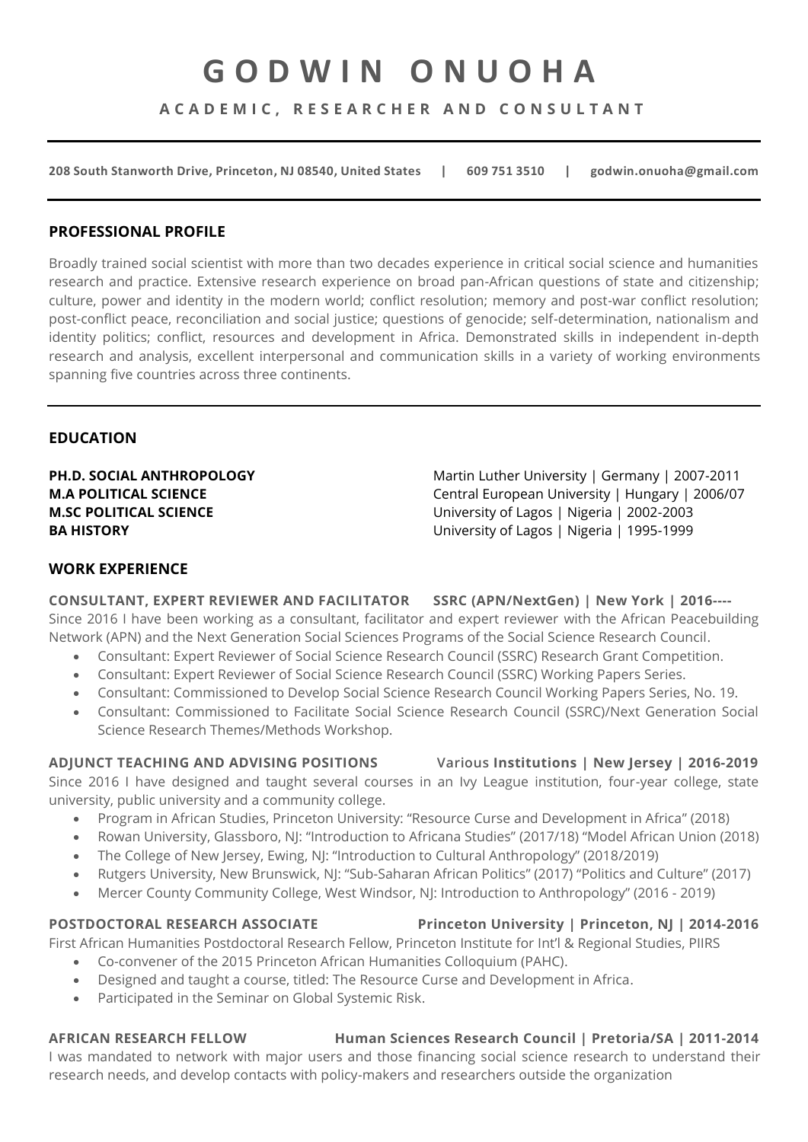# **G O D W I N O N U O H A**

**A C A D E M I C , R E S E A R C H E R A N D C O N S U L T A N T**

**208 South Stanworth Drive, Princeton, NJ 08540, United States | 609 751 3510 | godwin.onuoha@gmail.com** 

#### **PROFESSIONAL PROFILE**

Broadly trained social scientist with more than two decades experience in critical social science and humanities research and practice. Extensive research experience on broad pan-African questions of state and citizenship; culture, power and identity in the modern world; conflict resolution; memory and post-war conflict resolution; post-conflict peace, reconciliation and social justice; questions of genocide; self-determination, nationalism and identity politics; conflict, resources and development in Africa. Demonstrated skills in independent in-depth research and analysis, excellent interpersonal and communication skills in a variety of working environments spanning five countries across three continents.

### **EDUCATION**

**PH.D. SOCIAL ANTHROPOLOGY** Martin Luther University | Germany | 2007-2011 **M.A POLITICAL SCIENCE** Central European University | Hungary | 2006/07 **M.SC POLITICAL SCIENCE** University of Lagos | Nigeria | 2002-2003 **BA HISTORY** University of Lagos | Nigeria | 1995-1999

### **WORK EXPERIENCE**

**CONSULTANT, EXPERT REVIEWER AND FACILITATOR SSRC (APN/NextGen) | New York | 2016----** Since 2016 I have been working as a consultant, facilitator and expert reviewer with the African Peacebuilding Network (APN) and the Next Generation Social Sciences Programs of the Social Science Research Council.

- Consultant: Expert Reviewer of Social Science Research Council (SSRC) Research Grant Competition.
- Consultant: Expert Reviewer of Social Science Research Council (SSRC) Working Papers Series.
- Consultant: Commissioned to Develop Social Science Research Council Working Papers Series, No. 19.
- Consultant: Commissioned to Facilitate Social Science Research Council (SSRC)/Next Generation Social Science Research Themes/Methods Workshop.

### **ADJUNCT TEACHING AND ADVISING POSITIONS Various Institutions | New Jersey | 2016-2019**

Since 2016 I have designed and taught several courses in an Ivy League institution, four-year college, state university, public university and a community college.

- Program in African Studies, Princeton University: "Resource Curse and Development in Africa" (2018)
- Rowan University, Glassboro, NJ: "Introduction to Africana Studies" (2017/18) "Model African Union (2018)
- The College of New Jersey, Ewing, NJ: "Introduction to Cultural Anthropology" (2018/2019)
- Rutgers University, New Brunswick, NJ: "Sub-Saharan African Politics" (2017) "Politics and Culture" (2017)
- Mercer County Community College, West Windsor, NJ: Introduction to Anthropology" (2016 2019)

### **POSTDOCTORAL RESEARCH ASSOCIATE Princeton University | Princeton, NJ | 2014-2016**

First African Humanities Postdoctoral Research Fellow, Princeton Institute for Int'l & Regional Studies, PIIRS

- Co-convener of the 2015 Princeton African Humanities Colloquium (PAHC).
- Designed and taught a course, titled: The Resource Curse and Development in Africa.
- Participated in the Seminar on Global Systemic Risk.

# **AFRICAN RESEARCH FELLOW Human Sciences Research Council | Pretoria/SA | 2011-2014**

I was mandated to network with major users and those financing social science research to understand their research needs, and develop contacts with policy-makers and researchers outside the organization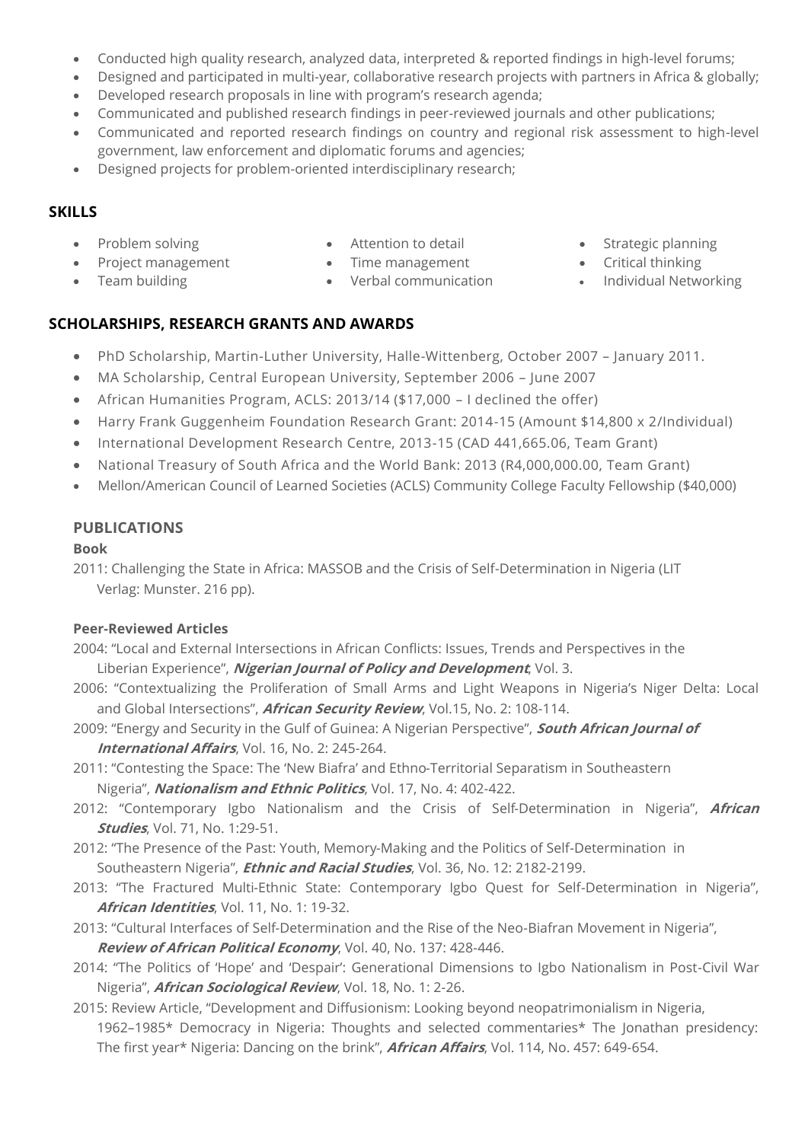- Conducted high quality research, analyzed data, interpreted & reported findings in high-level forums;
- Designed and participated in multi-year, collaborative research projects with partners in Africa & globally;
- Developed research proposals in line with program's research agenda;
- Communicated and published research findings in peer-reviewed journals and other publications;
- Communicated and reported research findings on country and regional risk assessment to high-level government, law enforcement and diplomatic forums and agencies;
- Designed projects for problem-oriented interdisciplinary research;

# **SKILLS**

- Problem solving
- Project management
- Team building
- Attention to detail
- Time management • Verbal communication
- Strategic planning
- Critical thinking
- Individual Networking

# **SCHOLARSHIPS, RESEARCH GRANTS AND AWARDS**

- PhD Scholarship, Martin-Luther University, Halle-Wittenberg, October 2007 January 2011.
- MA Scholarship, Central European University, September 2006 June 2007
- African Humanities Program, ACLS: 2013/14 (\$17,000 I declined the offer)
- Harry Frank Guggenheim Foundation Research Grant: 2014-15 (Amount \$14,800 x 2/Individual)
- International Development Research Centre, 2013-15 (CAD 441,665.06, Team Grant)
- National Treasury of South Africa and the World Bank: 2013 (R4,000,000.00, Team Grant)
- Mellon/American Council of Learned Societies (ACLS) Community College Faculty Fellowship (\$40,000)

# **PUBLICATIONS**

# **Book**

2011: Challenging the State in Africa: MASSOB and the Crisis of Self-Determination in Nigeria (LIT Verlag: Munster. 216 pp).

# **Peer-Reviewed Articles**

- 2004: "Local and External Intersections in African Conflicts: Issues, Trends and Perspectives in the Liberian Experience", **Nigerian Journal of Policy and Development**, Vol. 3.
- 2006: "Contextualizing the Proliferation of Small Arms and Light Weapons in Nigeria's Niger Delta: Local and Global Intersections", **African Security Review**, Vol.15, No. 2: 108-114.
- 2009: "Energy and Security in the Gulf of Guinea: A Nigerian Perspective", **South African Journal of International Affairs**, Vol. 16, No. 2: 245-264.
- 2011: "Contesting the Space: The 'New Biafra' and Ethno-Territorial Separatism in Southeastern Nigeria", **Nationalism and Ethnic Politics**, Vol. 17, No. 4: 402-422.
- 2012: "Contemporary Igbo Nationalism and the Crisis of Self-Determination in Nigeria", **African Studies**, Vol. 71, No. 1:29-51.
- 2012: "The Presence of the Past: Youth, Memory-Making and the Politics of Self-Determination in Southeastern Nigeria", **Ethnic and Racial Studies**, Vol. 36, No. 12: 2182-2199.
- 2013: "The Fractured Multi-Ethnic State: Contemporary Igbo Quest for Self-Determination in Nigeria", **African Identities**, Vol. 11, No. 1: 19-32.
- 2013: "Cultural Interfaces of Self-Determination and the Rise of the Neo-Biafran Movement in Nigeria", **Review of African Political Economy**, Vol. 40, No. 137: 428-446.
- 2014: "The Politics of 'Hope' and 'Despair': Generational Dimensions to Igbo Nationalism in Post-Civil War Nigeria", **African Sociological Review**, Vol. 18, No. 1: 2-26.
- 2015: Review Article, "Development and Diffusionism: Looking beyond neopatrimonialism in Nigeria, 1962–1985\* Democracy in Nigeria: Thoughts and selected commentaries\* The Jonathan presidency: The first year\* Nigeria: Dancing on the brink", **African Affairs**, Vol. 114, No. 457: 649-654.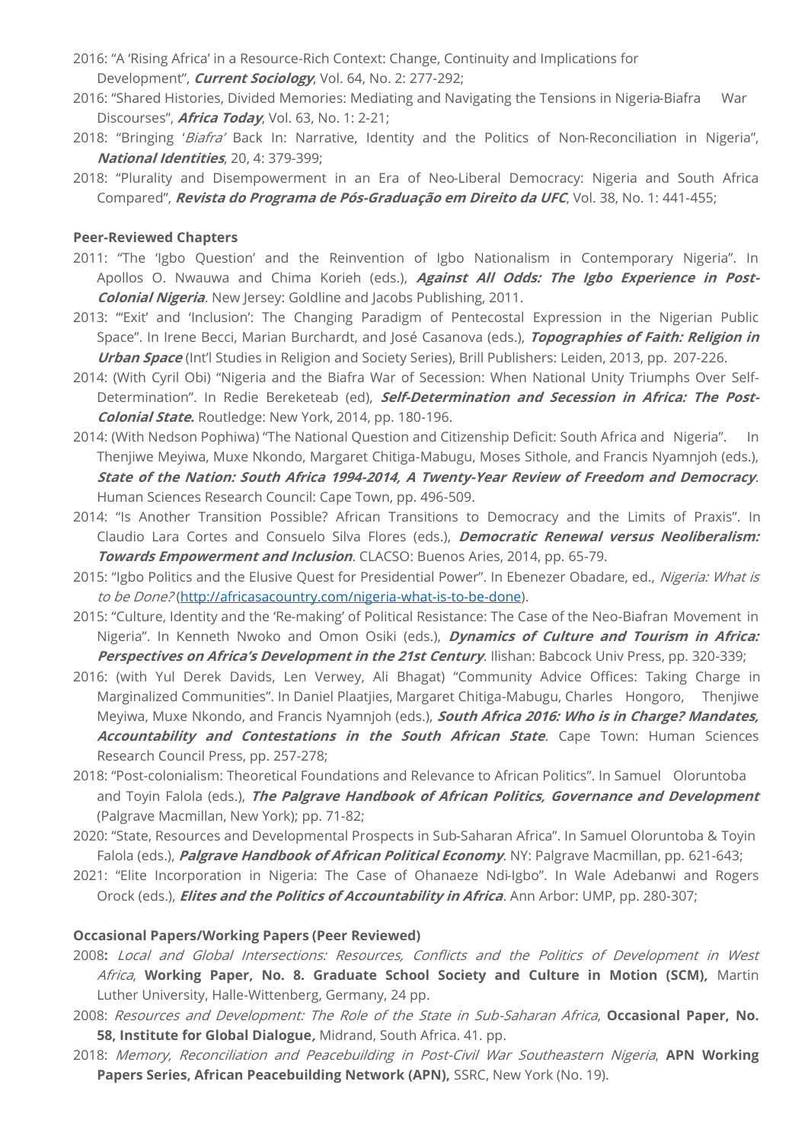- 2016: "A 'Rising Africa' in a Resource-Rich Context: Change, Continuity and Implications for Development", **Current Sociology**, Vol. 64, No. 2: 277-292;
- 2016: "Shared Histories, Divided Memories: Mediating and Navigating the Tensions in Nigeria-Biafra War Discourses", **Africa Today**, Vol. 63, No. 1: 2-21;
- 2018: "Bringing 'Biafra' Back In: Narrative, Identity and the Politics of Non-Reconciliation in Nigeria", **National Identities**, 20, 4: 379-399;
- 2018: "Plurality and Disempowerment in an Era of Neo-Liberal Democracy: Nigeria and South Africa Compared", **Revista do Programa de Pós-Graduação em Direito da UFC**, Vol. 38, No. 1: 441-455;

#### **Peer-Reviewed Chapters**

- 2011: "The 'Igbo Question' and the Reinvention of Igbo Nationalism in Contemporary Nigeria". In Apollos O. Nwauwa and Chima Korieh (eds.), **Against All Odds: The Igbo Experience in Post-Colonial Nigeria**. New Jersey: Goldline and Jacobs Publishing, 2011.
- 2013: "'Exit' and 'Inclusion': The Changing Paradigm of Pentecostal Expression in the Nigerian Public Space". In Irene Becci, Marian Burchardt, and José Casanova (eds.), **Topographies of Faith: Religion in Urban Space** (Int'l Studies in Religion and Society Series), Brill Publishers: Leiden, 2013, pp. 207-226.
- 2014: (With Cyril Obi) "Nigeria and the Biafra War of Secession: When National Unity Triumphs Over Self-Determination". In Redie Bereketeab (ed), **Self-Determination and Secession in Africa: The Post-Colonial State.** Routledge: New York, 2014, pp. 180-196.
- 2014: (With Nedson Pophiwa) "The National Question and Citizenship Deficit: South Africa and Nigeria". In Thenjiwe Meyiwa, Muxe Nkondo, Margaret Chitiga-Mabugu, Moses Sithole, and Francis Nyamnjoh (eds.), **State of the Nation: South Africa 1994-2014, A Twenty-Year Review of Freedom and Democracy**. Human Sciences Research Council: Cape Town, pp. 496-509.
- 2014: "Is Another Transition Possible? African Transitions to Democracy and the Limits of Praxis". In Claudio Lara Cortes and Consuelo Silva Flores (eds.), **Democratic Renewal versus Neoliberalism: Towards Empowerment and Inclusion**. CLACSO: Buenos Aries, 2014, pp. 65-79.
- 2015: "Igbo Politics and the Elusive Quest for Presidential Power". In Ebenezer Obadare, ed., Nigeria: What is to be Done?[\(http://africasacountry.com/nigeria-what-is-to-be-done\)](http://africasacountry.com/nigeria-what-is-to-be-done).
- 2015: "Culture, Identity and the 'Re-making' of Political Resistance: The Case of the Neo-Biafran Movement in Nigeria". In Kenneth Nwoko and Omon Osiki (eds.), **Dynamics of Culture and Tourism in Africa: Perspectives on Africa's Development in the 21st Century**. Ilishan: Babcock Univ Press, pp. 320-339;
- 2016: (with Yul Derek Davids, Len Verwey, Ali Bhagat) "Community Advice Offices: Taking Charge in Marginalized Communities". In Daniel Plaatjies, Margaret Chitiga-Mabugu, Charles Hongoro, Thenjiwe Meyiwa, Muxe Nkondo, and Francis Nyamnjoh (eds.), **South Africa 2016: Who is in Charge? Mandates, Accountability and Contestations in the South African State**. Cape Town: Human Sciences Research Council Press, pp. 257-278;
- 2018: "Post-colonialism: Theoretical Foundations and Relevance to African Politics". In Samuel Oloruntoba and Toyin Falola (eds.), **The Palgrave Handbook of African Politics, Governance and Development** (Palgrave Macmillan, New York); pp. 71-82;
- 2020: "State, Resources and Developmental Prospects in Sub-Saharan Africa". In Samuel Oloruntoba & Toyin Falola (eds.), **Palgrave Handbook of African Political Economy**. NY: Palgrave Macmillan, pp. 621-643;
- 2021: "Elite Incorporation in Nigeria: The Case of Ohanaeze Ndi-Igbo". In Wale Adebanwi and Rogers Orock (eds.), **Elites and the Politics of Accountability in Africa**. Ann Arbor: UMP, pp. 280-307;

#### **Occasional Papers/Working Papers (Peer Reviewed)**

- 2008**:** Local and Global Intersections: Resources, Conflicts and the Politics of Development in West Africa, **Working Paper, No. 8. Graduate School Society and Culture in Motion (SCM),** Martin Luther University, Halle-Wittenberg, Germany, 24 pp.
- 2008: Resources and Development: The Role of the State in Sub-Saharan Africa, **Occasional Paper, No. 58, Institute for Global Dialogue,** Midrand, South Africa. 41. pp.
- 2018: Memory, Reconciliation and Peacebuilding in Post-Civil War Southeastern Nigeria, **APN Working**  Papers Series, African Peacebuilding Network (APN), SSRC, New York (No. 19).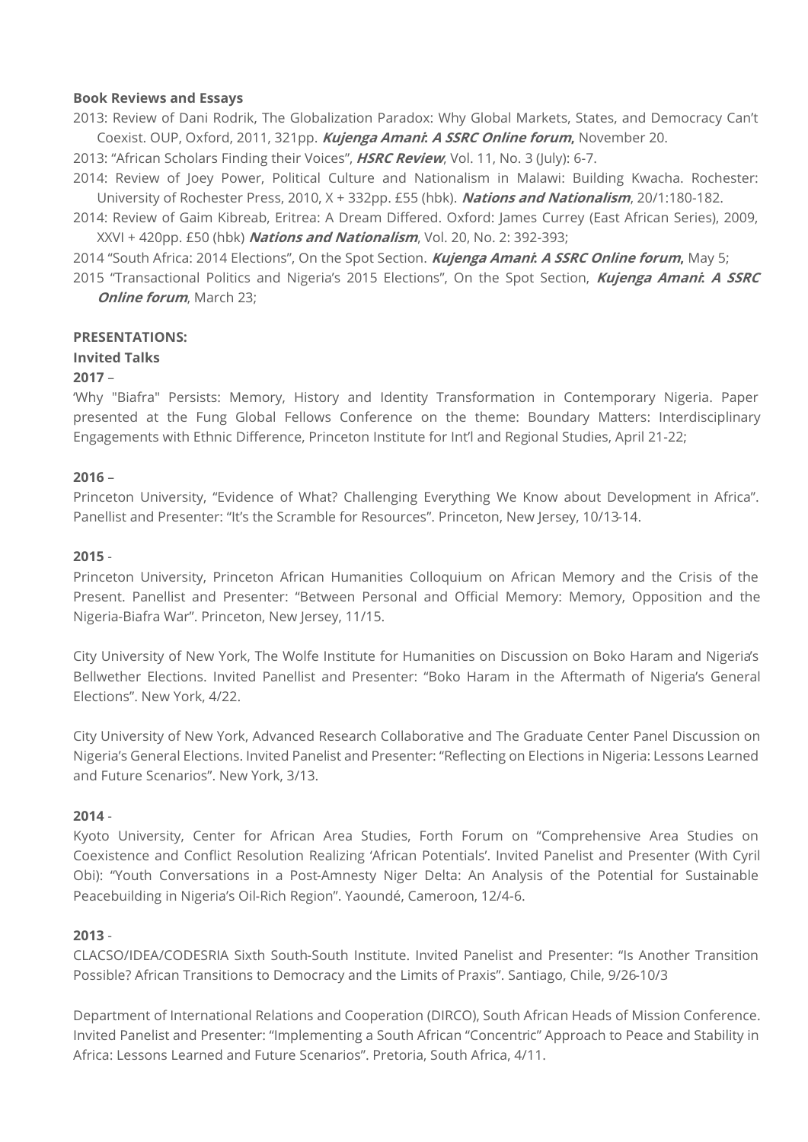#### **Book Reviews and Essays**

2013: Review of Dani Rodrik, The Globalization Paradox: Why Global Markets, States, and Democracy Can't Coexist. OUP, Oxford, 2011, 321pp. **Kujenga Amani: A SSRC Online forum,** November 20.

2013: "African Scholars Finding their Voices", **HSRC Review**, Vol. 11, No. 3 (July): 6-7.

2014: Review of Joey Power, Political Culture and Nationalism in Malawi: Building Kwacha. Rochester: University of Rochester Press, 2010, X + 332pp. £55 (hbk). **Nations and Nationalism**, 20/1:180-182.

2014: Review of Gaim Kibreab, Eritrea: A Dream Differed. Oxford: James Currey (East African Series), 2009, XXVI + 420pp. £50 (hbk) **Nations and Nationalism**, Vol. 20, No. 2: 392-393;

2014 "South Africa: 2014 Elections", On the Spot Section. **Kujenga Amani: A SSRC Online forum,** May 5;

2015 "Transactional Politics and Nigeria's 2015 Elections", On the Spot Section, **Kujenga Amani: A SSRC Online forum**, March 23;

#### **PRESENTATIONS:**

#### **Invited Talks**

#### **2017** –

'Why "Biafra" Persists: Memory, History and Identity Transformation in Contemporary Nigeria. Paper presented at the Fung Global Fellows Conference on the theme: Boundary Matters: Interdisciplinary Engagements with Ethnic Difference, Princeton Institute for Int'l and Regional Studies, April 21-22;

#### **2016** –

Princeton University, "Evidence of What? Challenging Everything We Know about Development in Africa". Panellist and Presenter: "It's the Scramble for Resources". Princeton, New Jersey, 10/13-14.

#### **2015** -

Princeton University, Princeton African Humanities Colloquium on African Memory and the Crisis of the Present. Panellist and Presenter: "Between Personal and Official Memory: Memory, Opposition and the Nigeria-Biafra War". Princeton, New Jersey, 11/15.

City University of New York, The Wolfe Institute for Humanities on Discussion on Boko Haram and Nigeria's Bellwether Elections. Invited Panellist and Presenter: "Boko Haram in the Aftermath of Nigeria's General Elections". New York, 4/22.

City University of New York, Advanced Research Collaborative and The Graduate Center Panel Discussion on Nigeria's General Elections. Invited Panelist and Presenter: "Reflecting on Elections in Nigeria: Lessons Learned and Future Scenarios". New York, 3/13.

#### **2014** -

Kyoto University, Center for African Area Studies, Forth Forum on "Comprehensive Area Studies on Coexistence and Conflict Resolution Realizing 'African Potentials'. Invited Panelist and Presenter (With Cyril Obi): "Youth Conversations in a Post-Amnesty Niger Delta: An Analysis of the Potential for Sustainable Peacebuilding in Nigeria's Oil-Rich Region". Yaoundé, Cameroon, 12/4-6.

#### **2013** -

CLACSO/IDEA/CODESRIA Sixth South-South Institute. Invited Panelist and Presenter: "Is Another Transition Possible? African Transitions to Democracy and the Limits of Praxis". Santiago, Chile, 9/26-10/3

Department of International Relations and Cooperation (DIRCO), South African Heads of Mission Conference. Invited Panelist and Presenter: "Implementing a South African "Concentric" Approach to Peace and Stability in Africa: Lessons Learned and Future Scenarios". Pretoria, South Africa, 4/11.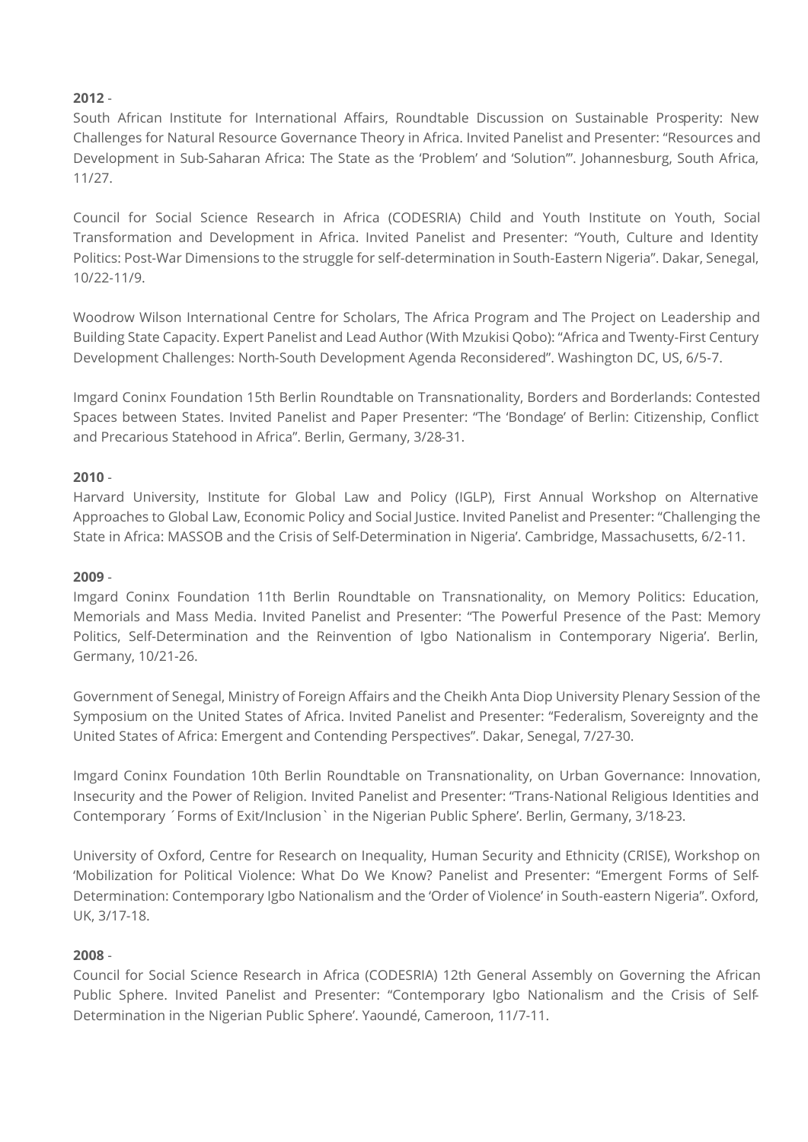# **2012** -

South African Institute for International Affairs, Roundtable Discussion on Sustainable Prosperity: New Challenges for Natural Resource Governance Theory in Africa. Invited Panelist and Presenter: "Resources and Development in Sub-Saharan Africa: The State as the 'Problem' and 'Solution'". Johannesburg, South Africa, 11/27.

Council for Social Science Research in Africa (CODESRIA) Child and Youth Institute on Youth, Social Transformation and Development in Africa. Invited Panelist and Presenter: "Youth, Culture and Identity Politics: Post-War Dimensions to the struggle for self-determination in South-Eastern Nigeria". Dakar, Senegal, 10/22-11/9.

Woodrow Wilson International Centre for Scholars, The Africa Program and The Project on Leadership and Building State Capacity. Expert Panelist and Lead Author (With Mzukisi Qobo): "Africa and Twenty-First Century Development Challenges: North-South Development Agenda Reconsidered". Washington DC, US, 6/5-7.

Imgard Coninx Foundation 15th Berlin Roundtable on Transnationality, Borders and Borderlands: Contested Spaces between States. Invited Panelist and Paper Presenter: "The 'Bondage' of Berlin: Citizenship, Conflict and Precarious Statehood in Africa". Berlin, Germany, 3/28-31.

### **2010** -

Harvard University, Institute for Global Law and Policy (IGLP), First Annual Workshop on Alternative Approaches to Global Law, Economic Policy and Social Justice. Invited Panelist and Presenter: "Challenging the State in Africa: MASSOB and the Crisis of Self-Determination in Nigeria'. Cambridge, Massachusetts, 6/2-11.

#### **2009** -

Imgard Coninx Foundation 11th Berlin Roundtable on Transnationality, on Memory Politics: Education, Memorials and Mass Media. Invited Panelist and Presenter: "The Powerful Presence of the Past: Memory Politics, Self-Determination and the Reinvention of Igbo Nationalism in Contemporary Nigeria'. Berlin, Germany, 10/21-26.

Government of Senegal, Ministry of Foreign Affairs and the Cheikh Anta Diop University Plenary Session of the Symposium on the United States of Africa. Invited Panelist and Presenter: "Federalism, Sovereignty and the United States of Africa: Emergent and Contending Perspectives". Dakar, Senegal, 7/27-30.

Imgard Coninx Foundation 10th Berlin Roundtable on Transnationality, on Urban Governance: Innovation, Insecurity and the Power of Religion. Invited Panelist and Presenter: "Trans-National Religious Identities and Contemporary ´Forms of Exit/Inclusion` in the Nigerian Public Sphere'. Berlin, Germany, 3/18-23.

University of Oxford, Centre for Research on Inequality, Human Security and Ethnicity (CRISE), Workshop on 'Mobilization for Political Violence: What Do We Know? Panelist and Presenter: "Emergent Forms of Self-Determination: Contemporary Igbo Nationalism and the 'Order of Violence' in South-eastern Nigeria". Oxford, UK, 3/17-18.

### **2008** -

Council for Social Science Research in Africa (CODESRIA) 12th General Assembly on Governing the African Public Sphere. Invited Panelist and Presenter: "Contemporary Igbo Nationalism and the Crisis of Self-Determination in the Nigerian Public Sphere'. Yaoundé, Cameroon, 11/7-11.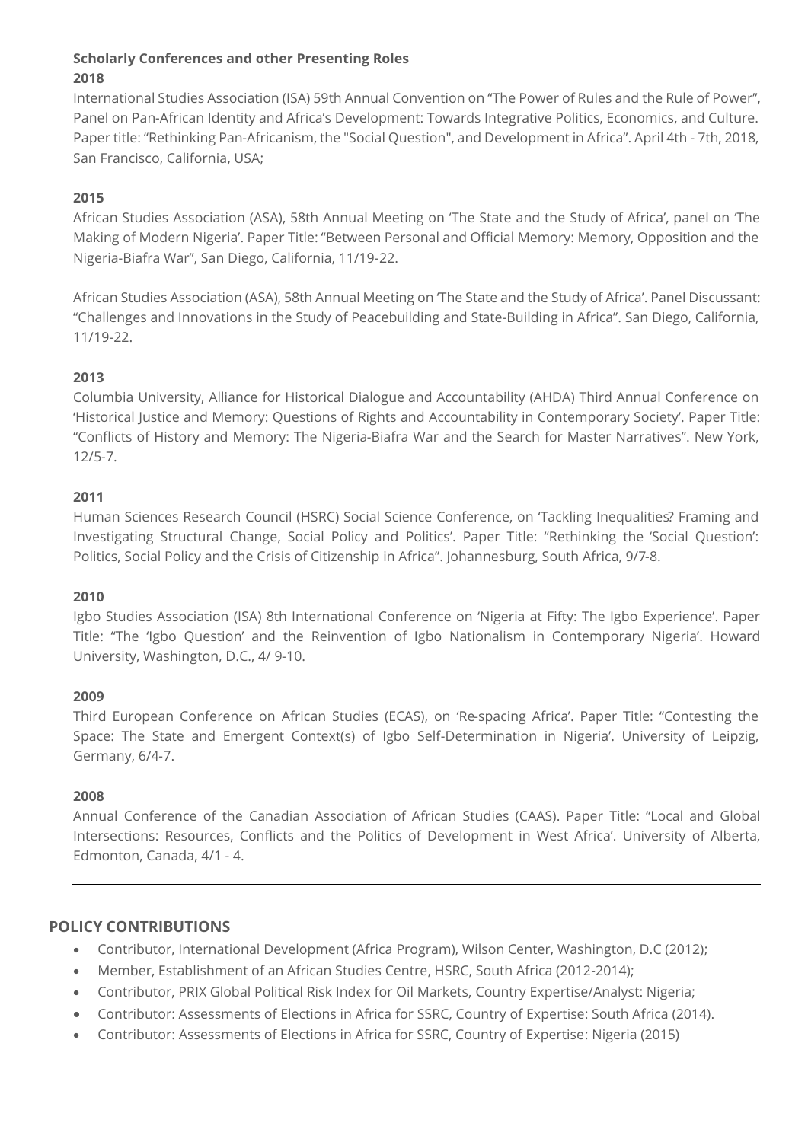# **Scholarly Conferences and other Presenting Roles 2018**

International Studies Association (ISA) 59th Annual Convention on "The Power of Rules and the Rule of Power", Panel on Pan-African Identity and Africa's Development: Towards Integrative Politics, Economics, and Culture. Paper title: "Rethinking Pan-Africanism, the "Social Question", and Development in Africa". April 4th - 7th, 2018, San Francisco, California, USA;

# **2015**

African Studies Association (ASA), 58th Annual Meeting on 'The State and the Study of Africa', panel on 'The Making of Modern Nigeria'. Paper Title: "Between Personal and Official Memory: Memory, Opposition and the Nigeria-Biafra War", San Diego, California, 11/19-22.

African Studies Association (ASA), 58th Annual Meeting on 'The State and the Study of Africa'. Panel Discussant: "Challenges and Innovations in the Study of Peacebuilding and State-Building in Africa". San Diego, California, 11/19-22.

# **2013**

Columbia University, Alliance for Historical Dialogue and Accountability (AHDA) Third Annual Conference on 'Historical Justice and Memory: Questions of Rights and Accountability in Contemporary Society'. Paper Title: "Conflicts of History and Memory: The Nigeria-Biafra War and the Search for Master Narratives". New York, 12/5-7.

### **2011**

Human Sciences Research Council (HSRC) Social Science Conference, on 'Tackling Inequalities? Framing and Investigating Structural Change, Social Policy and Politics'. Paper Title: "Rethinking the 'Social Question': Politics, Social Policy and the Crisis of Citizenship in Africa". Johannesburg, South Africa, 9/7-8.

### **2010**

Igbo Studies Association (ISA) 8th International Conference on 'Nigeria at Fifty: The Igbo Experience'. Paper Title: "The 'Igbo Question' and the Reinvention of Igbo Nationalism in Contemporary Nigeria'. Howard University, Washington, D.C., 4/ 9-10.

### **2009**

Third European Conference on African Studies (ECAS), on 'Re-spacing Africa'. Paper Title: "Contesting the Space: The State and Emergent Context(s) of Igbo Self-Determination in Nigeria'. University of Leipzig, Germany, 6/4-7.

### **2008**

Annual Conference of the Canadian Association of African Studies (CAAS). Paper Title: "Local and Global Intersections: Resources, Conflicts and the Politics of Development in West Africa'. University of Alberta, Edmonton, Canada, 4/1 - 4.

# **POLICY CONTRIBUTIONS**

- Contributor, International Development (Africa Program), Wilson Center, Washington, D.C (2012);
- Member, Establishment of an African Studies Centre, HSRC, South Africa (2012-2014);
- Contributor, PRIX Global Political Risk Index for Oil Markets, Country Expertise/Analyst: Nigeria;
- Contributor: Assessments of Elections in Africa for SSRC, Country of Expertise: South Africa (2014).
- Contributor: Assessments of Elections in Africa for SSRC, Country of Expertise: Nigeria (2015)